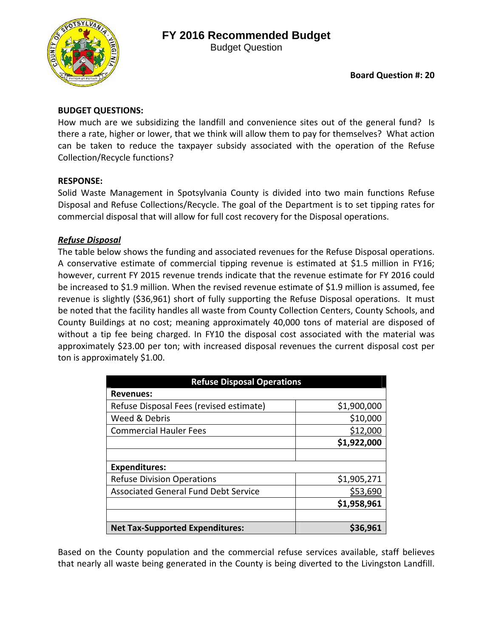# **FY 2016 Recommended Budget**



Budget Question

### **BUDGET QUESTIONS:**

How much are we subsidizing the landfill and convenience sites out of the general fund? Is there a rate, higher or lower, that we think will allow them to pay for themselves? What action can be taken to reduce the taxpayer subsidy associated with the operation of the Refuse Collection/Recycle functions?

### **RESPONSE:**

Solid Waste Management in Spotsylvania County is divided into two main functions Refuse Disposal and Refuse Collections/Recycle. The goal of the Department is to set tipping rates for commercial disposal that will allow for full cost recovery for the Disposal operations.

## *Refuse Disposal*

The table below shows the funding and associated revenues for the Refuse Disposal operations. A conservative estimate of commercial tipping revenue is estimated at \$1.5 million in FY16; however, current FY 2015 revenue trends indicate that the revenue estimate for FY 2016 could be increased to \$1.9 million. When the revised revenue estimate of \$1.9 million is assumed, fee revenue is slightly (\$36,961) short of fully supporting the Refuse Disposal operations. It must be noted that the facility handles all waste from County Collection Centers, County Schools, and County Buildings at no cost; meaning approximately 40,000 tons of material are disposed of without a tip fee being charged. In FY10 the disposal cost associated with the material was approximately \$23.00 per ton; with increased disposal revenues the current disposal cost per ton is approximately \$1.00.

| <b>Refuse Disposal Operations</b>           |             |
|---------------------------------------------|-------------|
| <b>Revenues:</b>                            |             |
| Refuse Disposal Fees (revised estimate)     | \$1,900,000 |
| Weed & Debris                               | \$10,000    |
| <b>Commercial Hauler Fees</b>               | \$12,000    |
|                                             | \$1,922,000 |
|                                             |             |
| <b>Expenditures:</b>                        |             |
| <b>Refuse Division Operations</b>           | \$1,905,271 |
| <b>Associated General Fund Debt Service</b> | \$53,690    |
|                                             | \$1,958,961 |
|                                             |             |
| <b>Net Tax-Supported Expenditures:</b>      | \$36,961    |

Based on the County population and the commercial refuse services available, staff believes that nearly all waste being generated in the County is being diverted to the Livingston Landfill.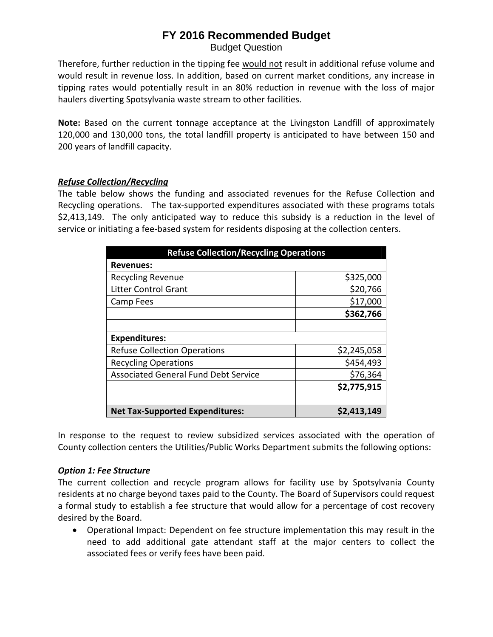# **FY 2016 Recommended Budget**

Budget Question

Therefore, further reduction in the tipping fee would not result in additional refuse volume and would result in revenue loss. In addition, based on current market conditions, any increase in tipping rates would potentially result in an 80% reduction in revenue with the loss of major haulers diverting Spotsylvania waste stream to other facilities.

**Note:** Based on the current tonnage acceptance at the Livingston Landfill of approximately 120,000 and 130,000 tons, the total landfill property is anticipated to have between 150 and 200 years of landfill capacity.

#### *Refuse Collection/Recycling*

The table below shows the funding and associated revenues for the Refuse Collection and Recycling operations. The tax‐supported expenditures associated with these programs totals \$2,413,149. The only anticipated way to reduce this subsidy is a reduction in the level of service or initiating a fee‐based system for residents disposing at the collection centers.

| <b>Refuse Collection/Recycling Operations</b> |             |
|-----------------------------------------------|-------------|
| <b>Revenues:</b>                              |             |
| <b>Recycling Revenue</b>                      | \$325,000   |
| <b>Litter Control Grant</b>                   | \$20,766    |
| Camp Fees                                     | \$17,000    |
|                                               | \$362,766   |
|                                               |             |
| <b>Expenditures:</b>                          |             |
| <b>Refuse Collection Operations</b>           | \$2,245,058 |
| <b>Recycling Operations</b>                   | \$454,493   |
| <b>Associated General Fund Debt Service</b>   | \$76,364    |
|                                               | \$2,775,915 |
|                                               |             |
| <b>Net Tax-Supported Expenditures:</b>        | \$2,413,149 |

In response to the request to review subsidized services associated with the operation of County collection centers the Utilities/Public Works Department submits the following options:

#### *Option 1: Fee Structure*

The current collection and recycle program allows for facility use by Spotsylvania County residents at no charge beyond taxes paid to the County. The Board of Supervisors could request a formal study to establish a fee structure that would allow for a percentage of cost recovery desired by the Board.

 Operational Impact: Dependent on fee structure implementation this may result in the need to add additional gate attendant staff at the major centers to collect the associated fees or verify fees have been paid.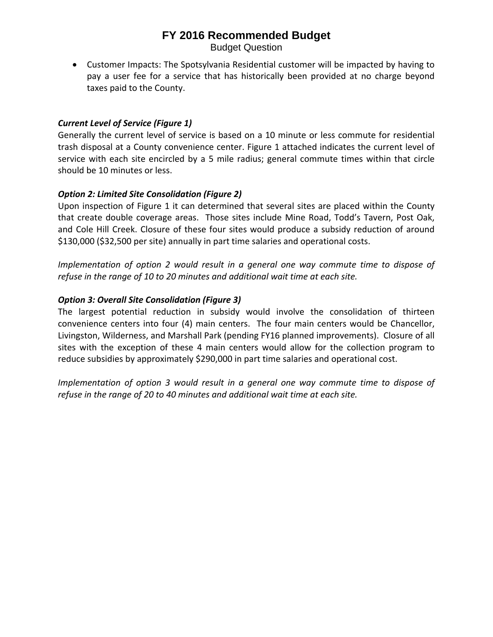## **FY 2016 Recommended Budget**

Budget Question

 Customer Impacts: The Spotsylvania Residential customer will be impacted by having to pay a user fee for a service that has historically been provided at no charge beyond taxes paid to the County.

#### *Current Level of Service (Figure 1)*

Generally the current level of service is based on a 10 minute or less commute for residential trash disposal at a County convenience center. Figure 1 attached indicates the current level of service with each site encircled by a 5 mile radius; general commute times within that circle should be 10 minutes or less.

#### *Option 2: Limited Site Consolidation (Figure 2)*

Upon inspection of Figure 1 it can determined that several sites are placed within the County that create double coverage areas. Those sites include Mine Road, Todd's Tavern, Post Oak, and Cole Hill Creek. Closure of these four sites would produce a subsidy reduction of around \$130,000 (\$32,500 per site) annually in part time salaries and operational costs.

*Implementation of option 2 would result in a general one way commute time to dispose of refuse in the range of 10 to 20 minutes and additional wait time at each site.* 

#### *Option 3: Overall Site Consolidation (Figure 3)*

The largest potential reduction in subsidy would involve the consolidation of thirteen convenience centers into four (4) main centers. The four main centers would be Chancellor, Livingston, Wilderness, and Marshall Park (pending FY16 planned improvements). Closure of all sites with the exception of these 4 main centers would allow for the collection program to reduce subsidies by approximately \$290,000 in part time salaries and operational cost.

*Implementation of option 3 would result in a general one way commute time to dispose of refuse in the range of 20 to 40 minutes and additional wait time at each site.*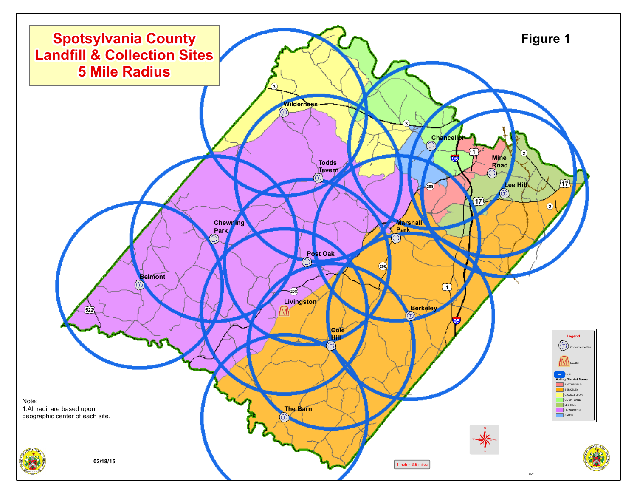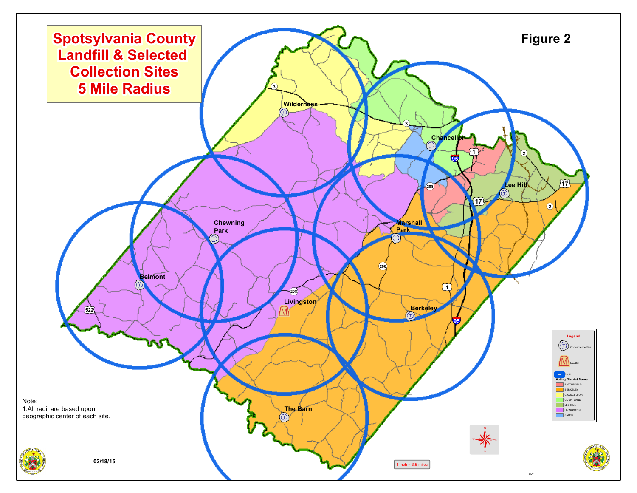